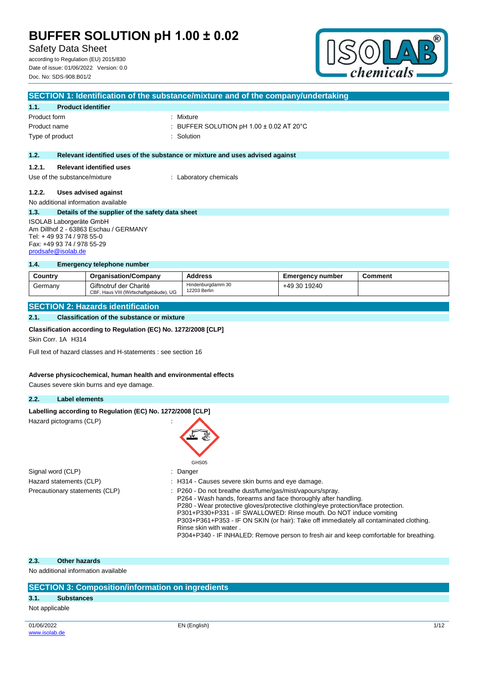Safety Data Sheet

according to Regulation (EU) 2015/830 Date of issue: 01/06/2022 Version: 0.0 Doc. No: SDS-908.B01/2



|                                       | SECTION 1: Identification of the substance/mixture and of the company/undertaking |                                                                               |  |  |  |
|---------------------------------------|-----------------------------------------------------------------------------------|-------------------------------------------------------------------------------|--|--|--|
| 1.1.                                  | <b>Product identifier</b>                                                         |                                                                               |  |  |  |
| Product form                          |                                                                                   | : Mixture                                                                     |  |  |  |
| Product name                          |                                                                                   | : BUFFER SOLUTION pH $1.00 \pm 0.02$ AT 20 $^{\circ}$ C                       |  |  |  |
| Type of product                       |                                                                                   | : Solution                                                                    |  |  |  |
|                                       |                                                                                   |                                                                               |  |  |  |
| 1.2.                                  |                                                                                   | Relevant identified uses of the substance or mixture and uses advised against |  |  |  |
| 1.2.1.                                | <b>Relevant identified uses</b>                                                   |                                                                               |  |  |  |
| Use of the substance/mixture          |                                                                                   | : Laboratory chemicals                                                        |  |  |  |
| 1.2.2.                                | Uses advised against                                                              |                                                                               |  |  |  |
|                                       | No additional information available                                               |                                                                               |  |  |  |
| 1.3.                                  | Details of the supplier of the safety data sheet                                  |                                                                               |  |  |  |
| ISOLAB Laborgeräte GmbH               |                                                                                   |                                                                               |  |  |  |
| Am Dillhof 2 - 63863 Eschau / GERMANY |                                                                                   |                                                                               |  |  |  |
| Tel: +49 93 74 / 978 55-0             |                                                                                   |                                                                               |  |  |  |
| Fax: +49 93 74 / 978 55-29            |                                                                                   |                                                                               |  |  |  |

## **1.4. Emergency telephone number**

| Country | <b>Organisation/Company</b>                                      | <b>Address</b>                    | Emergency number | Comment |
|---------|------------------------------------------------------------------|-----------------------------------|------------------|---------|
| Germany | Giftnotruf der Charité<br>CBF, Haus VIII (Wirtschaftgebäude), UG | Hindenburgdamm 30<br>12203 Berlin | +49 30 19240     |         |

P303+P361+P353 - IF ON SKIN (or hair): Take off immediately all contaminated clothing.

P304+P340 - IF INHALED: Remove person to fresh air and keep comfortable for breathing.

### **SECTION 2: Hazards identification**

### **2.1. Classification of the substance or mixture**

### **Classification according to Regulation (EC) No. 1272/2008 [CLP]**

Skin Corr. 1A H314

[prodsafe@isolab.de](mailto:prodsafe@isolab.de)

Full text of hazard classes and H-statements : see section 16

#### **Adverse physicochemical, human health and environmental effects**

Causes severe skin burns and eye damage.

#### **2.2. Label elements**

| Labelling according to Regulation (EC) No. 1272/2008 [CLP] |                                                                                                                                                                                                                                                                                         |
|------------------------------------------------------------|-----------------------------------------------------------------------------------------------------------------------------------------------------------------------------------------------------------------------------------------------------------------------------------------|
| Hazard pictograms (CLP)                                    |                                                                                                                                                                                                                                                                                         |
|                                                            | GHS05                                                                                                                                                                                                                                                                                   |
| Signal word (CLP)                                          | $:$ Danger                                                                                                                                                                                                                                                                              |
| Hazard statements (CLP)                                    | : H314 - Causes severe skin burns and eye damage.                                                                                                                                                                                                                                       |
| Precautionary statements (CLP)                             | : P260 - Do not breathe dust/fume/gas/mist/vapours/spray.<br>P264 - Wash hands, forearms and face thoroughly after handling.<br>P280 - Wear protective gloves/protective clothing/eye protection/face protection.<br>P301+P330+P331 - IF SWALLOWED: Rinse mouth. Do NOT induce vomiting |

Rinse skin with water .

## **2.3. Other hazards**

No additional information available

### **SECTION 3: Composition/information on ingredients**

### **3.1. Substances**

Not applicable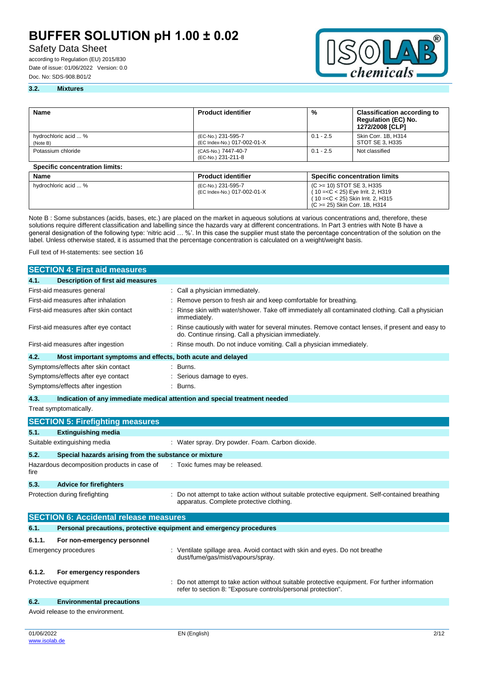## Safety Data Sheet

according to Regulation (EU) 2015/830 Date of issue: 01/06/2022 Version: 0.0 Doc. No: SDS-908.B01/2



( 10 =<C < 25) Skin Irrit. 2, H315 (C >= 25) Skin Corr. 1B, H314

#### **3.2. Mixtures**

| Name                                  | <b>Product identifier</b>                         | %                                                                  | <b>Classification according to</b><br><b>Regulation (EC) No.</b><br>1272/2008 [CLP] |
|---------------------------------------|---------------------------------------------------|--------------------------------------------------------------------|-------------------------------------------------------------------------------------|
| hydrochloric acid  %<br>(Note B)      | (EC-No.) 231-595-7<br>(EC Index-No.) 017-002-01-X | $0.1 - 2.5$                                                        | Skin Corr. 1B, H314<br>STOT SE 3, H335                                              |
| Potassium chloride                    | (CAS-No.) 7447-40-7<br>(EC-No.) 231-211-8         | $0.1 - 2.5$                                                        | Not classified                                                                      |
| <b>Specific concentration limits:</b> |                                                   |                                                                    |                                                                                     |
| Name                                  | <b>Product identifier</b>                         | <b>Specific concentration limits</b>                               |                                                                                     |
| hydrochloric acid  %                  | (EC-No.) 231-595-7<br>(EC Index-No.) 017-002-01-X | (C > = 10) STOT SE 3, H335<br>$(10 = < C < 25)$ Eye Irrit. 2, H319 |                                                                                     |

Note B : Some substances (acids, bases, etc.) are placed on the market in aqueous solutions at various concentrations and, therefore, these solutions require different classification and labelling since the hazards vary at different concentrations. In Part 3 entries with Note B have a general designation of the following type: 'nitric acid … %'. In this case the supplier must state the percentage concentration of the solution on the label. Unless otherwise stated, it is assumed that the percentage concentration is calculated on a weight/weight basis.

Full text of H-statements: see section 16

|                                      | <b>SECTION 4: First aid measures</b>                                       |  |                                                                                                                                                              |  |
|--------------------------------------|----------------------------------------------------------------------------|--|--------------------------------------------------------------------------------------------------------------------------------------------------------------|--|
| 4.1.                                 | <b>Description of first aid measures</b>                                   |  |                                                                                                                                                              |  |
|                                      | First-aid measures general                                                 |  | Call a physician immediately.                                                                                                                                |  |
|                                      | First-aid measures after inhalation                                        |  | Remove person to fresh air and keep comfortable for breathing.                                                                                               |  |
|                                      | First-aid measures after skin contact                                      |  | Rinse skin with water/shower. Take off immediately all contaminated clothing. Call a physician<br>immediately.                                               |  |
| First-aid measures after eye contact |                                                                            |  | : Rinse cautiously with water for several minutes. Remove contact lenses, if present and easy to<br>do. Continue rinsing. Call a physician immediately.      |  |
|                                      | First-aid measures after ingestion                                         |  | Rinse mouth. Do not induce vomiting. Call a physician immediately.                                                                                           |  |
| 4.2.                                 | Most important symptoms and effects, both acute and delayed                |  |                                                                                                                                                              |  |
|                                      | Symptoms/effects after skin contact                                        |  | Burns.                                                                                                                                                       |  |
|                                      | Symptoms/effects after eye contact                                         |  | Serious damage to eyes.                                                                                                                                      |  |
|                                      | Symptoms/effects after ingestion                                           |  | Burns.                                                                                                                                                       |  |
| 4.3.                                 | Indication of any immediate medical attention and special treatment needed |  |                                                                                                                                                              |  |
|                                      | Treat symptomatically.                                                     |  |                                                                                                                                                              |  |
|                                      | <b>SECTION 5: Firefighting measures</b>                                    |  |                                                                                                                                                              |  |
| 5.1.                                 | <b>Extinguishing media</b>                                                 |  |                                                                                                                                                              |  |
|                                      | Suitable extinguishing media                                               |  | : Water spray. Dry powder. Foam. Carbon dioxide.                                                                                                             |  |
| 5.2.                                 | Special hazards arising from the substance or mixture                      |  |                                                                                                                                                              |  |
| fire                                 | Hazardous decomposition products in case of                                |  | : Toxic fumes may be released.                                                                                                                               |  |
| 5.3.                                 | <b>Advice for firefighters</b>                                             |  |                                                                                                                                                              |  |
|                                      | Protection during firefighting                                             |  | : Do not attempt to take action without suitable protective equipment. Self-contained breathing<br>apparatus. Complete protective clothing.                  |  |
|                                      | <b>SECTION 6: Accidental release measures</b>                              |  |                                                                                                                                                              |  |
| 6.1.                                 | Personal precautions, protective equipment and emergency procedures        |  |                                                                                                                                                              |  |
| 6.1.1.                               | For non-emergency personnel                                                |  |                                                                                                                                                              |  |
|                                      | <b>Emergency procedures</b>                                                |  | : Ventilate spillage area. Avoid contact with skin and eyes. Do not breathe<br>dust/fume/gas/mist/vapours/spray.                                             |  |
| 6.1.2.                               | For emergency responders                                                   |  |                                                                                                                                                              |  |
|                                      | Protective equipment                                                       |  | Do not attempt to take action without suitable protective equipment. For further information<br>refer to section 8: "Exposure controls/personal protection". |  |
| 6.2.                                 | <b>Environmental precautions</b>                                           |  |                                                                                                                                                              |  |
|                                      | Avoid release to the environment.                                          |  |                                                                                                                                                              |  |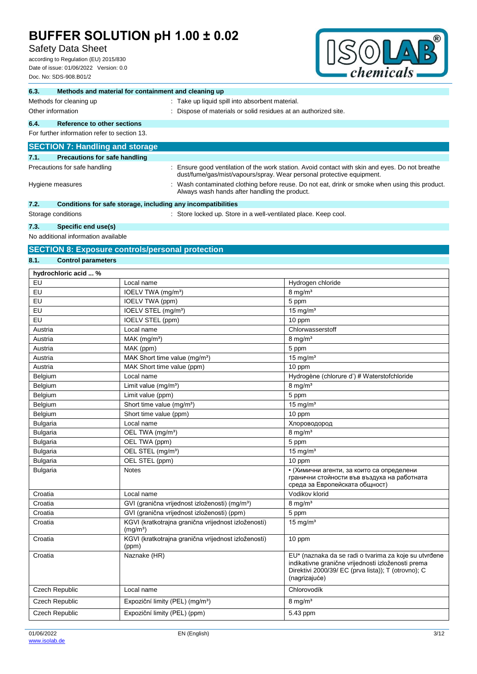## Safety Data Sheet

according to Regulation (EU) 2015/830 Date of issue: 01/06/2022 Version: 0.0 Doc. No: SDS-908.B01/2



| 6.3.            | Methods and material for containment and cleaning up         |                                           |                                                                                                                                               |                                                                                                                                                                                     |  |
|-----------------|--------------------------------------------------------------|-------------------------------------------|-----------------------------------------------------------------------------------------------------------------------------------------------|-------------------------------------------------------------------------------------------------------------------------------------------------------------------------------------|--|
|                 | Methods for cleaning up                                      |                                           | : Take up liquid spill into absorbent material.                                                                                               |                                                                                                                                                                                     |  |
|                 | Other information                                            |                                           | Dispose of materials or solid residues at an authorized site.                                                                                 |                                                                                                                                                                                     |  |
| 6.4.            | Reference to other sections                                  |                                           |                                                                                                                                               |                                                                                                                                                                                     |  |
|                 | For further information refer to section 13.                 |                                           |                                                                                                                                               |                                                                                                                                                                                     |  |
|                 |                                                              |                                           |                                                                                                                                               |                                                                                                                                                                                     |  |
|                 | <b>SECTION 7: Handling and storage</b>                       |                                           |                                                                                                                                               |                                                                                                                                                                                     |  |
| 7.1.            | <b>Precautions for safe handling</b>                         |                                           |                                                                                                                                               |                                                                                                                                                                                     |  |
|                 | Precautions for safe handling                                |                                           |                                                                                                                                               | : Ensure good ventilation of the work station. Avoid contact with skin and eyes. Do not breathe                                                                                     |  |
|                 |                                                              |                                           | dust/fume/gas/mist/vapours/spray. Wear personal protective equipment.                                                                         |                                                                                                                                                                                     |  |
|                 | Hygiene measures                                             |                                           | Wash contaminated clothing before reuse. Do not eat, drink or smoke when using this product.<br>Always wash hands after handling the product. |                                                                                                                                                                                     |  |
| 7.2.            | Conditions for safe storage, including any incompatibilities |                                           |                                                                                                                                               |                                                                                                                                                                                     |  |
|                 | Storage conditions                                           |                                           | : Store locked up. Store in a well-ventilated place. Keep cool.                                                                               |                                                                                                                                                                                     |  |
| 7.3.            | Specific end use(s)                                          |                                           |                                                                                                                                               |                                                                                                                                                                                     |  |
|                 | No additional information available                          |                                           |                                                                                                                                               |                                                                                                                                                                                     |  |
|                 |                                                              |                                           |                                                                                                                                               |                                                                                                                                                                                     |  |
|                 | <b>SECTION 8: Exposure controls/personal protection</b>      |                                           |                                                                                                                                               |                                                                                                                                                                                     |  |
| 8.1.            | <b>Control parameters</b>                                    |                                           |                                                                                                                                               |                                                                                                                                                                                     |  |
|                 | hydrochloric acid  %                                         |                                           |                                                                                                                                               |                                                                                                                                                                                     |  |
| EU              |                                                              | Local name                                |                                                                                                                                               | Hydrogen chloride                                                                                                                                                                   |  |
| EU              |                                                              | IOELV TWA (mg/m <sup>3</sup> )            |                                                                                                                                               | $8$ mg/m <sup>3</sup>                                                                                                                                                               |  |
| EU              |                                                              | IOELV TWA (ppm)                           |                                                                                                                                               | 5 ppm                                                                                                                                                                               |  |
| EU              |                                                              | IOELV STEL (mg/m <sup>3</sup> )           |                                                                                                                                               | 15 mg/ $m3$                                                                                                                                                                         |  |
| EU              |                                                              | IOELV STEL (ppm)                          |                                                                                                                                               | 10 ppm                                                                                                                                                                              |  |
| Austria         |                                                              | Local name                                |                                                                                                                                               | Chlorwasserstoff                                                                                                                                                                    |  |
| Austria         |                                                              | $MAK$ (mg/m <sup>3</sup> )                |                                                                                                                                               | $8 \text{ mg/m}^3$                                                                                                                                                                  |  |
| Austria         |                                                              | MAK (ppm)                                 |                                                                                                                                               | 5 ppm                                                                                                                                                                               |  |
| Austria         |                                                              | MAK Short time value (mg/m <sup>3</sup> ) |                                                                                                                                               | 15 mg/ $m3$                                                                                                                                                                         |  |
| Austria         |                                                              | MAK Short time value (ppm)                |                                                                                                                                               | 10 ppm                                                                                                                                                                              |  |
| Belgium         |                                                              | Local name                                |                                                                                                                                               | Hydrogène (chlorure d') # Waterstofchloride                                                                                                                                         |  |
| Belgium         |                                                              | Limit value $(mg/m3)$                     |                                                                                                                                               | $8 \text{ mg/m}^3$                                                                                                                                                                  |  |
| Belgium         |                                                              | Limit value (ppm)                         |                                                                                                                                               | 5 ppm                                                                                                                                                                               |  |
| Belgium         |                                                              | Short time value (mg/m <sup>3</sup> )     |                                                                                                                                               | 15 mg/ $m3$                                                                                                                                                                         |  |
| Belgium         |                                                              | Short time value (ppm)                    |                                                                                                                                               | 10 ppm                                                                                                                                                                              |  |
| <b>Bulgaria</b> |                                                              | Local name                                |                                                                                                                                               | Хлороводород                                                                                                                                                                        |  |
| <b>Bulgaria</b> |                                                              | OEL TWA (mg/m <sup>3</sup> )              |                                                                                                                                               | $8 \text{ mg/m}^3$                                                                                                                                                                  |  |
| Bulgaria        |                                                              | OEL TWA (ppm)                             |                                                                                                                                               | 5 ppm                                                                                                                                                                               |  |
| <b>Bulgaria</b> |                                                              | OEL STEL (mg/m <sup>3</sup> )             |                                                                                                                                               | 15 mg/ $m3$                                                                                                                                                                         |  |
| <b>Bulgaria</b> |                                                              | OEL STEL (ppm)                            |                                                                                                                                               | 10 ppm                                                                                                                                                                              |  |
| <b>Bulgaria</b> |                                                              | <b>Notes</b>                              |                                                                                                                                               | • (Химични агенти, за които са определени<br>гранични стойности във въздуха на работната<br>среда за Европейската общност)                                                          |  |
| Croatia         |                                                              | Local name                                |                                                                                                                                               | Vodikov klorid                                                                                                                                                                      |  |
| Croatia         |                                                              |                                           | GVI (granična vrijednost izloženosti) (mg/m <sup>3</sup> )                                                                                    | $8$ mg/m <sup>3</sup>                                                                                                                                                               |  |
| Croatia         |                                                              |                                           | GVI (granična vrijednost izloženosti) (ppm)                                                                                                   | 5 ppm                                                                                                                                                                               |  |
| Croatia         |                                                              | (mg/m <sup>3</sup> )                      | KGVI (kratkotrajna granična vrijednost izloženosti)                                                                                           | $15$ mg/m <sup>3</sup>                                                                                                                                                              |  |
| Croatia         |                                                              | (ppm)                                     | KGVI (kratkotrajna granična vrijednost izloženosti)                                                                                           | 10 ppm                                                                                                                                                                              |  |
| Croatia         |                                                              | Naznake (HR)                              |                                                                                                                                               | EU* (naznaka da se radi o tvarima za koje su utvrđene<br>indikativne granične vrijednosti izloženosti prema<br>Direktivi 2000/39/ EC (prva lista)); T (otrovno); C<br>(nagrizajuće) |  |

Czech Republic Local name Czech Republic Local name Czech Republic Expoziční limity (PEL) (mg/m<sup>3</sup>) 8 mg/m<sup>3</sup> Czech Republic Expoziční limity (PEL) (ppm) 5.43 ppm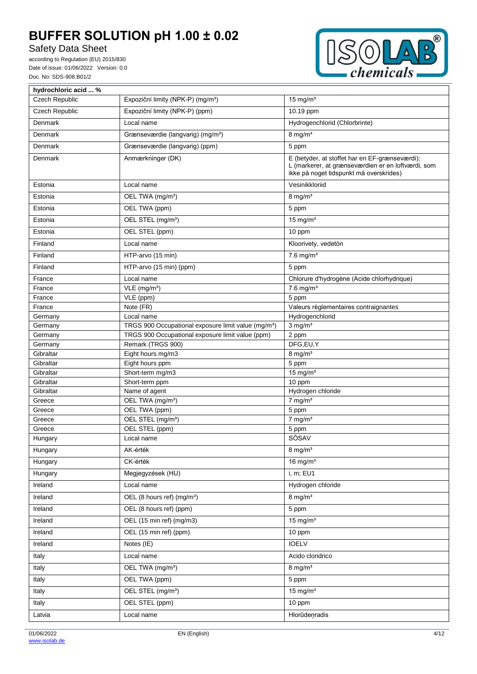## Safety Data Sheet

according to Regulation (EU) 2015/830 Date of issue: 01/06/2022 Version: 0.0 Doc. No: SDS-908.B01/2



| hydrochloric acid  %  |                                                                 |                                                                                                                                                 |
|-----------------------|-----------------------------------------------------------------|-------------------------------------------------------------------------------------------------------------------------------------------------|
| <b>Czech Republic</b> | Expoziční limity (NPK-P) (mg/m <sup>3</sup> )                   | 15 mg/ $m3$                                                                                                                                     |
| <b>Czech Republic</b> | Expoziční limity (NPK-P) (ppm)                                  | 10.19 ppm                                                                                                                                       |
| <b>Denmark</b>        | Local name                                                      | Hydrogenchlorid (Chlorbrinte)                                                                                                                   |
| Denmark               | Grænseværdie (langvarig) (mg/m <sup>3</sup> )                   | $8 \text{ mg/m}^3$                                                                                                                              |
| Denmark               | Grænseværdie (langvarig) (ppm)                                  | 5 ppm                                                                                                                                           |
| Denmark               | Anmærkninger (DK)                                               | E (betyder, at stoffet har en EF-grænseværdi);<br>L (markerer, at grænseværdien er en loftværdi, som<br>ikke på noget tidspunkt må overskrides) |
| Estonia               | Local name                                                      | Vesinikkloriid                                                                                                                                  |
| Estonia               | OEL TWA (mg/m <sup>3</sup> )                                    | $8 \text{ mg/m}^3$                                                                                                                              |
| Estonia               | OEL TWA (ppm)                                                   | 5 ppm                                                                                                                                           |
| Estonia               | OEL STEL (mg/m <sup>3</sup> )                                   | $15$ mg/m <sup>3</sup>                                                                                                                          |
| Estonia               | OEL STEL (ppm)                                                  | 10 ppm                                                                                                                                          |
| Finland               | Local name                                                      | Kloorivety, vedetön                                                                                                                             |
| Finland               | HTP-arvo (15 min)                                               | $7.6$ mg/m <sup>3</sup>                                                                                                                         |
| Finland               | HTP-arvo (15 min) (ppm)                                         | 5 ppm                                                                                                                                           |
| France                | Local name                                                      | Chlorure d'hydrogène (Acide chlorhydrique)                                                                                                      |
| France                | $VLE$ (mg/m <sup>3</sup> )                                      | $7.6$ mg/m <sup>3</sup>                                                                                                                         |
| France                | VLE (ppm)                                                       | 5 ppm                                                                                                                                           |
| France                | Note (FR)                                                       | Valeurs règlementaires contraignantes                                                                                                           |
| Germany               | Local name                                                      | Hydrogenchlorid                                                                                                                                 |
| Germany               | TRGS 900 Occupational exposure limit value (mg/m <sup>3</sup> ) | $3$ mg/m <sup>3</sup>                                                                                                                           |
| Germany               | TRGS 900 Occupational exposure limit value (ppm)                | 2 ppm                                                                                                                                           |
| Germany               | Remark (TRGS 900)                                               | DFG,EU,Y                                                                                                                                        |
| Gibraltar             | Eight hours mg/m3                                               | $8$ mg/m <sup>3</sup>                                                                                                                           |
| Gibraltar             | Eight hours ppm                                                 | 5 ppm                                                                                                                                           |
| Gibraltar             | Short-term mg/m3                                                | $15 \text{ mg/m}^3$                                                                                                                             |
| Gibraltar             | Short-term ppm                                                  | 10 ppm                                                                                                                                          |
| Gibraltar             | Name of agent                                                   | Hydrogen chloride                                                                                                                               |
| Greece                | OEL TWA (mg/m <sup>3</sup> )                                    | $7$ mg/m <sup>3</sup>                                                                                                                           |
| Greece                | OEL TWA (ppm)                                                   | 5 ppm                                                                                                                                           |
| Greece                | OEL STEL (mg/m <sup>3</sup> )                                   | $7$ mg/m <sup>3</sup>                                                                                                                           |
| Greece                | OEL STEL (ppm)                                                  | 5 ppm                                                                                                                                           |
| Hungary               | Local name                                                      | SÓSAV                                                                                                                                           |
| Hungary               | AK-érték                                                        | $8$ mg/m <sup>3</sup>                                                                                                                           |
| Hungary               | CK-érték                                                        | 16 mg/ $m3$                                                                                                                                     |
| Hungary               | Megjegyzések (HU)                                               | i, m; EU1                                                                                                                                       |
| Ireland               | Local name                                                      | Hydrogen chloride                                                                                                                               |
| Ireland               | OEL (8 hours ref) (mg/m <sup>3</sup> )                          | $8 \text{ mg/m}^3$                                                                                                                              |
| Ireland               | OEL (8 hours ref) (ppm)                                         | 5 ppm                                                                                                                                           |
| Ireland               | OEL (15 min ref) (mg/m3)                                        | 15 mg/ $m3$                                                                                                                                     |
| Ireland               | OEL (15 min ref) (ppm)                                          | 10 ppm                                                                                                                                          |
| Ireland               | Notes (IE)                                                      | <b>IOELV</b>                                                                                                                                    |
| Italy                 | Local name                                                      | Acido cloridrico                                                                                                                                |
| Italy                 | OEL TWA (mg/m <sup>3</sup> )                                    | $8 \text{ mg/m}^3$                                                                                                                              |
| Italy                 | OEL TWA (ppm)                                                   | 5 ppm                                                                                                                                           |
| Italy                 | OEL STEL (mg/m <sup>3</sup> )                                   | 15 mg/ $m3$                                                                                                                                     |
| Italy                 | OEL STEL (ppm)                                                  | 10 ppm                                                                                                                                          |
| Latvia                | Local name                                                      | Hlorūdeņradis                                                                                                                                   |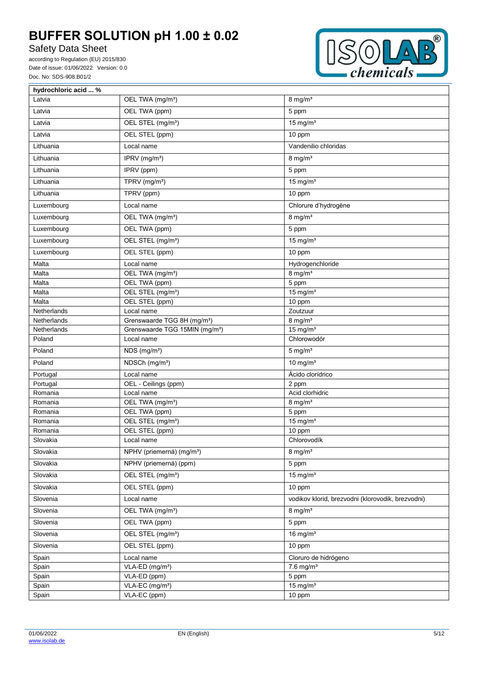## Safety Data Sheet

according to Regulation (EU) 2015/830 Date of issue: 01/06/2022 Version: 0.0 Doc. No: SDS-908.B01/2



| hydrochloric acid  % |                                            |                                                   |
|----------------------|--------------------------------------------|---------------------------------------------------|
| Latvia               | OEL TWA (mg/m <sup>3</sup> )               | $8 \text{ mg/m}^3$                                |
| Latvia               | OEL TWA (ppm)                              | 5 ppm                                             |
| Latvia               | OEL STEL (mg/m <sup>3</sup> )              | $15$ mg/m <sup>3</sup>                            |
| Latvia               | OEL STEL (ppm)                             | 10 ppm                                            |
| Lithuania            | Local name                                 | Vandenilio chloridas                              |
| Lithuania            | IPRV (mg/m <sup>3</sup> )                  | $8 \text{ mg/m}^3$                                |
| Lithuania            | IPRV (ppm)                                 | 5 ppm                                             |
| Lithuania            | TPRV (mg/m <sup>3</sup> )                  | $15$ mg/m <sup>3</sup>                            |
| Lithuania            | TPRV (ppm)                                 | 10 ppm                                            |
| Luxembourg           | Local name                                 | Chlorure d'hydrogène                              |
| Luxembourg           | OEL TWA (mg/m <sup>3</sup> )               | $8$ mg/m <sup>3</sup>                             |
| Luxembourg           | OEL TWA (ppm)                              | 5 ppm                                             |
| Luxembourg           | OEL STEL (mg/m <sup>3</sup> )              | $15$ mg/m <sup>3</sup>                            |
| Luxembourg           | OEL STEL (ppm)                             | 10 ppm                                            |
| Malta                | Local name                                 | Hydrogenchloride                                  |
| Malta                | OEL TWA (mg/m <sup>3</sup> )               | $8$ mg/m <sup>3</sup>                             |
| Malta                | OEL TWA (ppm)                              | 5 ppm                                             |
| Malta                | OEL STEL (mg/m <sup>3</sup> )              | $15$ mg/m <sup>3</sup>                            |
| Malta                | OEL STEL (ppm)                             | 10 ppm                                            |
| Netherlands          | Local name                                 | Zoutzuur                                          |
| Netherlands          | Grenswaarde TGG 8H (mg/m <sup>3</sup> )    | $8$ mg/m <sup>3</sup>                             |
| Netherlands          | Grenswaarde TGG 15MIN (mg/m <sup>3</sup> ) | 15 mg/ $m3$                                       |
| Poland               | Local name                                 | Chlorowodór                                       |
| Poland               | NDS (mg/m <sup>3</sup> )                   | $5 \text{ mg/m}^3$                                |
| Poland               | NDSCh (mg/m <sup>3</sup> )                 | 10 mg/ $m3$                                       |
| Portugal             | Local name                                 | Ácido clorídrico                                  |
| Portugal             | OEL - Ceilings (ppm)                       | 2 ppm                                             |
| Romania              | Local name                                 | Acid clorhidric                                   |
| Romania              | OEL TWA (mg/m <sup>3</sup> )               | $8$ mg/m <sup>3</sup>                             |
| Romania              | OEL TWA (ppm)                              | 5 ppm                                             |
| Romania              | OEL STEL (mg/m <sup>3</sup> )              | $15$ mg/m <sup>3</sup>                            |
| Romania              | OEL STEL (ppm)                             | 10 ppm                                            |
| Slovakia             | Local name                                 | Chlorovodík                                       |
| Slovakia             | NPHV (priemerná) (mg/m <sup>3</sup> )      | $8$ mg/m <sup>3</sup>                             |
| Slovakia             | NPHV (priemerná) (ppm)                     | 5 ppm                                             |
| Slovakia             | OEL STEL (mg/m <sup>3</sup> )              | 15 mg/ $m3$                                       |
| Slovakia             | OEL STEL (ppm)                             | 10 ppm                                            |
| Slovenia             | Local name                                 | vodikov klorid, brezvodni (klorovodik, brezvodni) |
| Slovenia             | OEL TWA (mg/m <sup>3</sup> )               | $8$ mg/m <sup>3</sup>                             |
| Slovenia             | OEL TWA (ppm)                              | 5 ppm                                             |
| Slovenia             | OEL STEL (mg/m <sup>3</sup> )              | 16 mg/ $m3$                                       |
| Slovenia             | OEL STEL (ppm)                             | 10 ppm                                            |
| Spain                | Local name                                 | Cloruro de hidrógeno                              |
| Spain                | VLA-ED (mg/m <sup>3</sup> )                | $7.6$ mg/m <sup>3</sup>                           |
| Spain                | VLA-ED (ppm)                               | 5 ppm                                             |
| Spain                | VLA-EC (mg/m <sup>3</sup> )                | $15$ mg/m <sup>3</sup>                            |
| Spain                | VLA-EC (ppm)                               | 10 ppm                                            |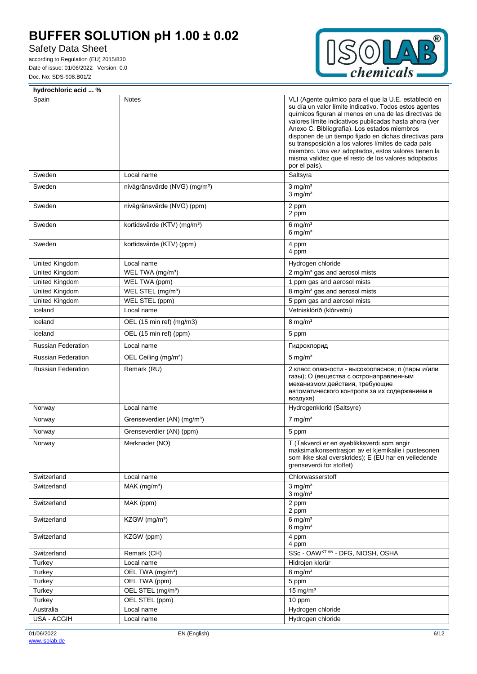## Safety Data Sheet

according to Regulation (EU) 2015/830 Date of issue: 01/06/2022 Version: 0.0 Doc. No: SDS-908.B01/2



 $\overline{\mathbf{1}}$ 

| hydrochloric acid  %      |                                           |                                                                                                                                                                                                                                                                                                                                                                                                                                                                                                                                    |  |  |  |  |
|---------------------------|-------------------------------------------|------------------------------------------------------------------------------------------------------------------------------------------------------------------------------------------------------------------------------------------------------------------------------------------------------------------------------------------------------------------------------------------------------------------------------------------------------------------------------------------------------------------------------------|--|--|--|--|
| Spain                     | <b>Notes</b>                              | VLI (Agente químico para el que la U.E. estableció en<br>su día un valor límite indicativo. Todos estos agentes<br>químicos figuran al menos en una de las directivas de<br>valores límite indicativos publicadas hasta ahora (ver<br>Anexo C. Bibliografía). Los estados miembros<br>disponen de un tiempo fijado en dichas directivas para<br>su transposición a los valores límites de cada país<br>miembro. Una vez adoptados, estos valores tienen la<br>misma validez que el resto de los valores adoptados<br>por el país). |  |  |  |  |
| Sweden                    | Local name                                | Saltsyra                                                                                                                                                                                                                                                                                                                                                                                                                                                                                                                           |  |  |  |  |
| Sweden                    | nivågränsvärde (NVG) (mg/m <sup>3</sup> ) | $3$ mg/m <sup>3</sup><br>$3$ mg/m <sup>3</sup>                                                                                                                                                                                                                                                                                                                                                                                                                                                                                     |  |  |  |  |
| Sweden                    | nivågränsvärde (NVG) (ppm)                | 2 ppm<br>2 ppm                                                                                                                                                                                                                                                                                                                                                                                                                                                                                                                     |  |  |  |  |
| Sweden                    | kortidsvärde (KTV) (mg/m <sup>3</sup> )   | $6$ mg/m <sup>3</sup><br>$6$ mg/m <sup>3</sup>                                                                                                                                                                                                                                                                                                                                                                                                                                                                                     |  |  |  |  |
| Sweden                    | kortidsvärde (KTV) (ppm)                  | 4 ppm<br>4 ppm                                                                                                                                                                                                                                                                                                                                                                                                                                                                                                                     |  |  |  |  |
| United Kingdom            | Local name                                | Hydrogen chloride                                                                                                                                                                                                                                                                                                                                                                                                                                                                                                                  |  |  |  |  |
| United Kingdom            | WEL TWA (mg/m <sup>3</sup> )              | 2 mg/m <sup>3</sup> gas and aerosol mists                                                                                                                                                                                                                                                                                                                                                                                                                                                                                          |  |  |  |  |
| United Kingdom            | WEL TWA (ppm)                             | 1 ppm gas and aerosol mists                                                                                                                                                                                                                                                                                                                                                                                                                                                                                                        |  |  |  |  |
| <b>United Kingdom</b>     | WEL STEL (mg/m <sup>3</sup> )             | 8 mg/m <sup>3</sup> gas and aerosol mists                                                                                                                                                                                                                                                                                                                                                                                                                                                                                          |  |  |  |  |
| United Kingdom            | WEL STEL (ppm)                            | 5 ppm gas and aerosol mists                                                                                                                                                                                                                                                                                                                                                                                                                                                                                                        |  |  |  |  |
| Iceland                   | Local name                                | Vetnisklóríð (klórvetni)                                                                                                                                                                                                                                                                                                                                                                                                                                                                                                           |  |  |  |  |
| Iceland                   | OEL (15 min ref) (mg/m3)                  | $8 \text{ mg/m}^3$                                                                                                                                                                                                                                                                                                                                                                                                                                                                                                                 |  |  |  |  |
| Iceland                   | OEL (15 min ref) (ppm)                    | 5 ppm                                                                                                                                                                                                                                                                                                                                                                                                                                                                                                                              |  |  |  |  |
| <b>Russian Federation</b> | Local name                                | Гидрохлорид                                                                                                                                                                                                                                                                                                                                                                                                                                                                                                                        |  |  |  |  |
| <b>Russian Federation</b> | OEL Ceiling (mg/m <sup>3</sup> )          | $5 \text{ mg/m}^3$                                                                                                                                                                                                                                                                                                                                                                                                                                                                                                                 |  |  |  |  |
| <b>Russian Federation</b> | Remark (RU)                               | 2 класс опасности - высокоопасное; п (пары и/или<br>газы); О (вещества с остронаправленным<br>механизмом действия, требующие<br>автоматического контроля за их содержанием в<br>воздухе)                                                                                                                                                                                                                                                                                                                                           |  |  |  |  |
| Norway                    | Local name                                | Hydrogenklorid (Saltsyre)                                                                                                                                                                                                                                                                                                                                                                                                                                                                                                          |  |  |  |  |
| Norway                    | Grenseverdier (AN) (mg/m <sup>3</sup> )   | $7$ mg/m <sup>3</sup>                                                                                                                                                                                                                                                                                                                                                                                                                                                                                                              |  |  |  |  |
| Norway                    | Grenseverdier (AN) (ppm)                  | 5 ppm                                                                                                                                                                                                                                                                                                                                                                                                                                                                                                                              |  |  |  |  |
| Norway                    | Merknader (NO)                            | T (Takverdi er en øyeblikksverdi som angir<br>maksimalkonsentrasjon av et kjemikalie i pustesonen<br>som ikke skal overskrides); E (EU har en veiledende<br>grenseverdi for stoffet)                                                                                                                                                                                                                                                                                                                                               |  |  |  |  |
| Switzerland               | Local name                                | Chlorwasserstoff                                                                                                                                                                                                                                                                                                                                                                                                                                                                                                                   |  |  |  |  |
| Switzerland               | $MAK$ (mg/m <sup>3</sup> )                | $3$ mg/m <sup>3</sup><br>$3$ mg/m <sup>3</sup>                                                                                                                                                                                                                                                                                                                                                                                                                                                                                     |  |  |  |  |
| Switzerland               | MAK (ppm)                                 | 2 ppm<br>2 ppm                                                                                                                                                                                                                                                                                                                                                                                                                                                                                                                     |  |  |  |  |
| Switzerland               | KZGW (mg/m <sup>3</sup> )                 | $6$ mg/m <sup>3</sup><br>$6 \text{ mg/m}^3$                                                                                                                                                                                                                                                                                                                                                                                                                                                                                        |  |  |  |  |
| Switzerland               | KZGW (ppm)                                | 4 ppm<br>4 ppm                                                                                                                                                                                                                                                                                                                                                                                                                                                                                                                     |  |  |  |  |
| Switzerland               | Remark (CH)                               | SSc - OAWKTAN - DFG, NIOSH, OSHA                                                                                                                                                                                                                                                                                                                                                                                                                                                                                                   |  |  |  |  |
| Turkey                    | Local name                                | Hidrojen klorür                                                                                                                                                                                                                                                                                                                                                                                                                                                                                                                    |  |  |  |  |
| Turkey                    | OEL TWA (mg/m <sup>3</sup> )              | $8$ mg/m <sup>3</sup>                                                                                                                                                                                                                                                                                                                                                                                                                                                                                                              |  |  |  |  |
| Turkey                    | OEL TWA (ppm)                             | 5 ppm                                                                                                                                                                                                                                                                                                                                                                                                                                                                                                                              |  |  |  |  |
| Turkey                    | OEL STEL (mg/m <sup>3</sup> )             | $15$ mg/m <sup>3</sup>                                                                                                                                                                                                                                                                                                                                                                                                                                                                                                             |  |  |  |  |
| Turkey                    | OEL STEL (ppm)                            | 10 ppm                                                                                                                                                                                                                                                                                                                                                                                                                                                                                                                             |  |  |  |  |
| Australia                 | Local name                                | Hydrogen chloride                                                                                                                                                                                                                                                                                                                                                                                                                                                                                                                  |  |  |  |  |
| USA - ACGIH               | Local name                                | Hydrogen chloride                                                                                                                                                                                                                                                                                                                                                                                                                                                                                                                  |  |  |  |  |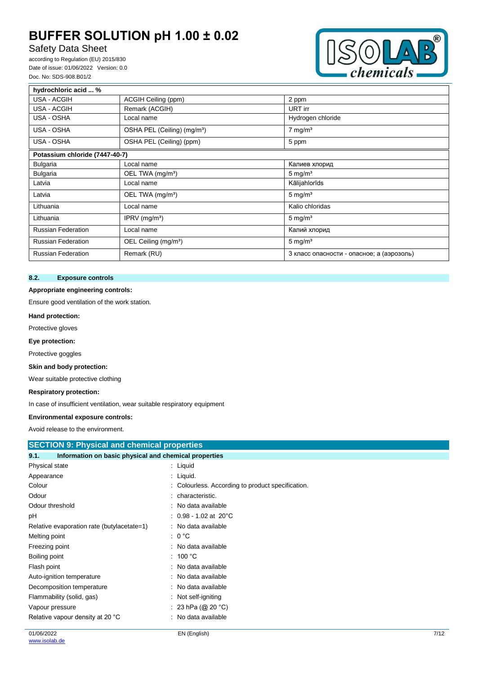## Safety Data Sheet

according to Regulation (EU) 2015/830 Date of issue: 01/06/2022 Version: 0.0 Doc. No: SDS-908.B01/2



| hydrochloric acid  %           |                                         |                                           |
|--------------------------------|-----------------------------------------|-------------------------------------------|
| USA - ACGIH                    | ACGIH Ceiling (ppm)                     | 2 ppm                                     |
| USA - ACGIH                    | Remark (ACGIH)                          | URT irr                                   |
| USA - OSHA                     | Local name                              | Hydrogen chloride                         |
| USA - OSHA                     | OSHA PEL (Ceiling) (mg/m <sup>3</sup> ) | $7 \text{ mg/m}^3$                        |
| USA - OSHA                     | OSHA PEL (Ceiling) (ppm)                | 5 ppm                                     |
| Potassium chloride (7447-40-7) |                                         |                                           |
| <b>Bulgaria</b>                | Local name                              | Калиев хлорид                             |
| <b>Bulgaria</b>                | OEL TWA (mg/m <sup>3</sup> )            | $5 \text{ mg/m}^3$                        |
| Latvia                         | Local name                              | Kālijahlorīds                             |
| Latvia                         | OEL TWA (mg/m <sup>3</sup> )            | $5 \text{ mg/m}^3$                        |
| Lithuania                      | Local name                              | Kalio chloridas                           |
| Lithuania                      | IPRV $(mg/m3)$                          | $5 \text{ mg/m}^3$                        |
| <b>Russian Federation</b>      | Local name                              | Калий хлорид                              |
| <b>Russian Federation</b>      | OEL Ceiling (mg/m <sup>3</sup> )        | $5 \text{ mg/m}^3$                        |
| <b>Russian Federation</b>      | Remark (RU)                             | 3 класс опасности - опасное; а (аэрозоль) |

## **8.2. Exposure controls**

#### **Appropriate engineering controls:**

Ensure good ventilation of the work station.

#### **Hand protection:**

Protective gloves

**Eye protection:**

Protective goggles

## **Skin and body protection:**

Wear suitable protective clothing

### **Respiratory protection:**

In case of insufficient ventilation, wear suitable respiratory equipment

### **Environmental exposure controls:**

Avoid release to the environment.

| <b>SECTION 9: Physical and chemical properties</b>            |                                                   |      |  |
|---------------------------------------------------------------|---------------------------------------------------|------|--|
| 9.1.<br>Information on basic physical and chemical properties |                                                   |      |  |
| Physical state                                                | : Liquid                                          |      |  |
| Appearance                                                    | : Liquid.                                         |      |  |
| Colour                                                        | : Colourless. According to product specification. |      |  |
| Odour                                                         | : characteristic.                                 |      |  |
| Odour threshold                                               | : No data available                               |      |  |
| рH                                                            | : $0.98 - 1.02$ at 20°C                           |      |  |
| Relative evaporation rate (butylacetate=1)                    | : No data available                               |      |  |
| Melting point                                                 | $: 0^{\circ}C$                                    |      |  |
| Freezing point                                                | : No data available                               |      |  |
| Boiling point                                                 | : 100 $^{\circ}$ C                                |      |  |
| Flash point                                                   | : No data available                               |      |  |
| Auto-ignition temperature                                     | : No data available                               |      |  |
| Decomposition temperature                                     | : No data available                               |      |  |
| Flammability (solid, gas)                                     | : Not self-igniting                               |      |  |
| Vapour pressure                                               | : 23 hPa (@ 20 °C)                                |      |  |
| Relative vapour density at 20 °C                              | : No data available                               |      |  |
| 01/06/2022                                                    | EN (English)                                      | 7/12 |  |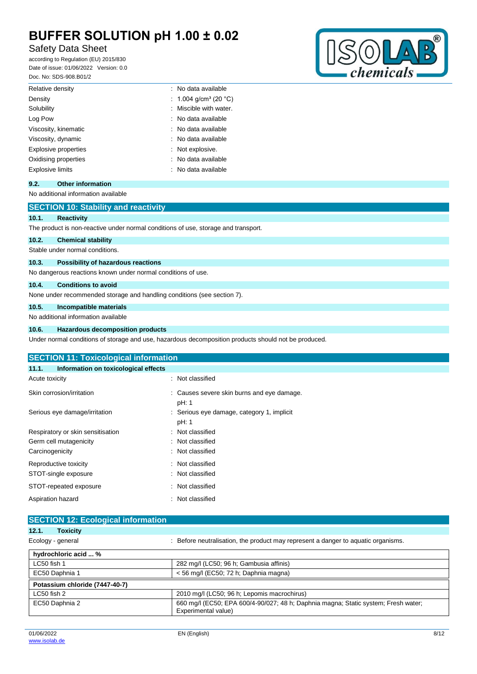## Safety Data Sheet

according to Regulation (EU) 2015/830 Date of issue: 01/06/2022 Version: 0.0 Doc. No: SDS-908.B01/2



| Log Pow                     | : No data available |
|-----------------------------|---------------------|
| Viscosity, kinematic        | : No data available |
| Viscosity, dynamic          | : No data available |
| <b>Explosive properties</b> | : Not explosive.    |
| Oxidising properties        | : No data available |
| Explosive limits            | : No data available |
|                             |                     |

## **9.2. Other information**

## No additional information available

|       | <b>SECTION 10: Stability and reactivity</b>                                        |
|-------|------------------------------------------------------------------------------------|
| 10.1. | <b>Reactivity</b>                                                                  |
|       | The product is non-reactive under normal conditions of use, storage and transport. |
| 10.2. | <b>Chemical stability</b>                                                          |
|       | Stable under normal conditions.                                                    |
| 10.3. | Possibility of hazardous reactions                                                 |
|       | No dangerous reactions known under normal conditions of use.                       |
| 10.4. | <b>Conditions to avoid</b>                                                         |
|       | None under recommended storage and handling conditions (see section 7).            |
| 10.5. | Incompatible materials                                                             |
|       | No additional information available                                                |

### **10.6. Hazardous decomposition products**

Under normal conditions of storage and use, hazardous decomposition products should not be produced.

| <b>SECTION 11: Toxicological information</b>  |                                                     |  |  |  |
|-----------------------------------------------|-----------------------------------------------------|--|--|--|
| Information on toxicological effects<br>11.1. |                                                     |  |  |  |
| Acute toxicity                                | : Not classified                                    |  |  |  |
| Skin corrosion/irritation                     | : Causes severe skin burns and eye damage.<br>pH: 1 |  |  |  |
| Serious eye damage/irritation                 | : Serious eye damage, category 1, implicit<br>pH: 1 |  |  |  |
| Respiratory or skin sensitisation             | : Not classified                                    |  |  |  |
| Germ cell mutagenicity                        | : Not classified                                    |  |  |  |
| Carcinogenicity                               | : Not classified                                    |  |  |  |
| Reproductive toxicity                         | : Not classified                                    |  |  |  |
| STOT-single exposure                          | : Not classified                                    |  |  |  |
| STOT-repeated exposure                        | : Not classified                                    |  |  |  |
| Aspiration hazard                             | : Not classified                                    |  |  |  |

| <b>SECTION 12: Ecological information</b> |                                                                                                           |
|-------------------------------------------|-----------------------------------------------------------------------------------------------------------|
| 12.1.<br><b>Toxicity</b>                  |                                                                                                           |
| Ecology - general                         | : Before neutralisation, the product may represent a danger to aquatic organisms.                         |
| hydrochloric acid  %                      |                                                                                                           |
| LC50 fish 1                               | 282 mg/l (LC50; 96 h; Gambusia affinis)                                                                   |
| EC50 Daphnia 1                            | < 56 mg/l (EC50; 72 h; Daphnia magna)                                                                     |
| Potassium chloride (7447-40-7)            |                                                                                                           |
| LC50 fish 2                               | 2010 mg/l (LC50; 96 h; Lepomis macrochirus)                                                               |
| EC50 Daphnia 2                            | 660 mg/l (EC50; EPA 600/4-90/027; 48 h; Daphnia magna; Static system; Fresh water;<br>Experimental value) |

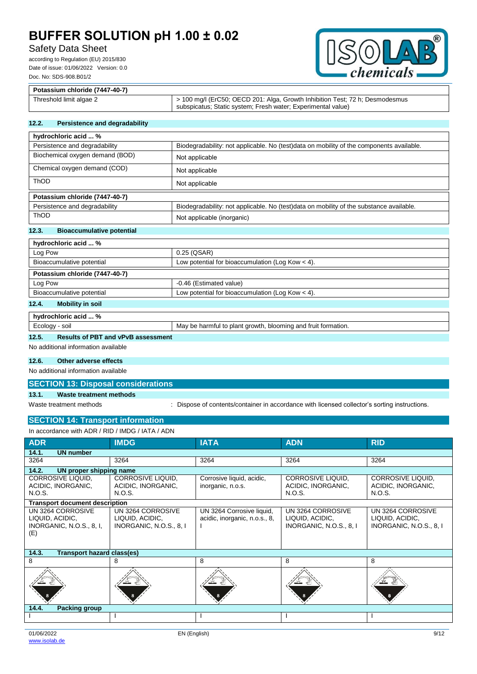## Safety Data Sheet

according to Regulation (EU) 2015/830 Date of issue: 01/06/2022 Version: 0.0 Doc. No: SDS-908.B01/2



| Potassium chloride (7447-40-7) |                                                                                                                                              |  |
|--------------------------------|----------------------------------------------------------------------------------------------------------------------------------------------|--|
| Threshold limit algae 2        | > 100 mg/l (ErC50; OECD 201: Alga, Growth Inhibition Test; 72 h; Desmodesmus<br>subspicatus; Static system; Fresh water; Experimental value) |  |

### **12.2. Persistence and degradability**

| hydrochloric acid  %                     |                                                                                          |
|------------------------------------------|------------------------------------------------------------------------------------------|
| Persistence and degradability            | Biodegradability: not applicable. No (test)data on mobility of the components available. |
| Biochemical oxygen demand (BOD)          | Not applicable                                                                           |
| Chemical oxygen demand (COD)             | Not applicable                                                                           |
| <b>ThOD</b>                              | Not applicable                                                                           |
| Potassium chloride (7447-40-7)           |                                                                                          |
| Persistence and degradability            | Biodegradability: not applicable. No (test) data on mobility of the substance available. |
| <b>ThOD</b>                              | Not applicable (inorganic)                                                               |
| 12.3<br><b>Bioaccumulative potential</b> |                                                                                          |

#### **12.3. Bioaccumulative potential**

| hydrochloric acid  %             |                                                    |  |
|----------------------------------|----------------------------------------------------|--|
| Log Pow                          | 0.25 (QSAR)                                        |  |
| Bioaccumulative potential        | Low potential for bioaccumulation (Log Kow $<$ 4). |  |
| Potassium chloride (7447-40-7)   |                                                    |  |
| Log Pow                          | -0.46 (Estimated value)                            |  |
| Bioaccumulative potential        | Low potential for bioaccumulation (Log Kow $<$ 4). |  |
| 12.4.<br><b>Mobility in soil</b> |                                                    |  |
| hydrochloric acid  %             |                                                    |  |
|                                  |                                                    |  |

| Ecology - soil                                     |  |  | May be harmful to plant growth, blooming and fruit formation. |
|----------------------------------------------------|--|--|---------------------------------------------------------------|
| <b>Results of PBT and vPvB assessment</b><br>12.5. |  |  |                                                               |

No additional information available

## **12.6. Other adverse effects**

No additional information available

### **SECTION 13: Disposal considerations**

## **13.1. Waste treatment methods**

Waste treatment methods : Dispose of contents/container in accordance with licensed collector's sorting instructions.

## **SECTION 14: Transport information**

| In accordance with ADR / RID / IMDG / IATA / ADN                        |                                                                 |                                                            |                                                                 |                                                                 |
|-------------------------------------------------------------------------|-----------------------------------------------------------------|------------------------------------------------------------|-----------------------------------------------------------------|-----------------------------------------------------------------|
| <b>ADR</b>                                                              | <b>IMDG</b>                                                     | <b>IATA</b>                                                | <b>ADN</b>                                                      | <b>RID</b>                                                      |
| 14.1.<br><b>UN number</b>                                               |                                                                 |                                                            |                                                                 |                                                                 |
| 3264                                                                    | 3264                                                            | 3264                                                       | 3264                                                            | 3264                                                            |
| 14.2.<br>UN proper shipping name                                        |                                                                 |                                                            |                                                                 |                                                                 |
| CORROSIVE LIQUID,<br>ACIDIC, INORGANIC,<br>N.O.S.                       | <b>CORROSIVE LIQUID.</b><br>ACIDIC, INORGANIC,<br>N.O.S.        | Corrosive liquid, acidic,<br>inorganic, n.o.s.             | CORROSIVE LIQUID.<br>ACIDIC, INORGANIC,<br>N.O.S.               | <b>CORROSIVE LIQUID.</b><br>ACIDIC, INORGANIC,<br>N.O.S.        |
| <b>Transport document description</b>                                   |                                                                 |                                                            |                                                                 |                                                                 |
| UN 3264 CORROSIVE<br>LIQUID, ACIDIC,<br>INORGANIC, N.O.S., 8, I,<br>(E) | UN 3264 CORROSIVE<br>LIQUID, ACIDIC,<br>INORGANIC, N.O.S., 8, I | UN 3264 Corrosive liquid,<br>acidic, inorganic, n.o.s., 8, | UN 3264 CORROSIVE<br>LIQUID, ACIDIC,<br>INORGANIC, N.O.S., 8, I | UN 3264 CORROSIVE<br>LIQUID, ACIDIC,<br>INORGANIC, N.O.S., 8, I |
| 14.3.<br><b>Transport hazard class(es)</b>                              |                                                                 |                                                            |                                                                 |                                                                 |
| 8                                                                       | 8                                                               | 8                                                          | 8                                                               | 8                                                               |
|                                                                         |                                                                 |                                                            |                                                                 |                                                                 |
| <b>Packing group</b><br>14.4.                                           |                                                                 |                                                            |                                                                 |                                                                 |
|                                                                         |                                                                 |                                                            |                                                                 |                                                                 |
|                                                                         |                                                                 |                                                            |                                                                 |                                                                 |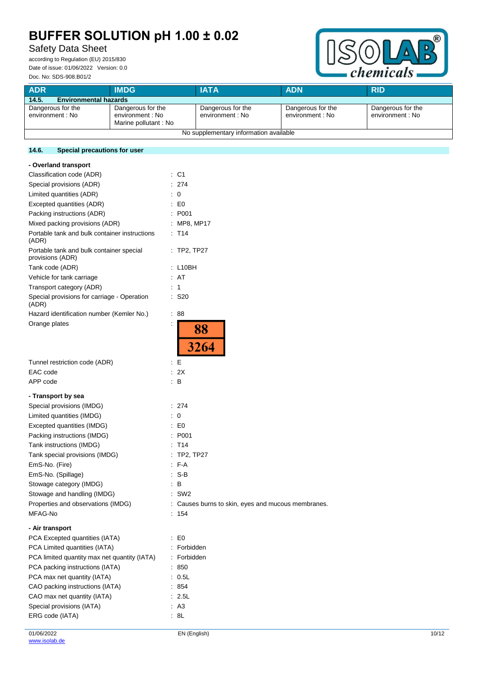## Safety Data Sheet

according to Regulation (EU) 2015/830 Date of issue: 01/06/2022 Version: 0.0 Doc. No: SDS-908.B01/2



| <b>ADR</b>                             | <b>IMDG</b>                                                   | <b>IATA</b>                           | <b>ADN</b>                            | <b>RID</b>                            |
|----------------------------------------|---------------------------------------------------------------|---------------------------------------|---------------------------------------|---------------------------------------|
| 14.5.<br><b>Environmental hazards</b>  |                                                               |                                       |                                       |                                       |
| Dangerous for the<br>environment : No  | Dangerous for the<br>environment : No<br>Marine pollutant: No | Dangerous for the<br>environment : No | Dangerous for the<br>environment : No | Dangerous for the<br>environment : No |
| No supplementary information available |                                                               |                                       |                                       |                                       |

## **14.6. Special precautions for user**

| - Overland transport                                         |                                                    |
|--------------------------------------------------------------|----------------------------------------------------|
| Classification code (ADR)                                    | C <sub>1</sub><br>t.                               |
| Special provisions (ADR)                                     | : 274                                              |
| Limited quantities (ADR)                                     | $\therefore$ 0                                     |
| Excepted quantities (ADR)                                    | $\mathsf{E}$ EQ                                    |
| Packing instructions (ADR)                                   | : P <sub>001</sub>                                 |
| Mixed packing provisions (ADR)                               | : MP8, MP17                                        |
| Portable tank and bulk container instructions<br>(ADR)       | $:$ T <sub>14</sub>                                |
| Portable tank and bulk container special<br>provisions (ADR) | $:$ TP2, TP27                                      |
| Tank code (ADR)                                              | : L10BH                                            |
| Vehicle for tank carriage                                    | : AT                                               |
| Transport category (ADR)                                     | : 1                                                |
| Special provisions for carriage - Operation<br>(ADR)         | : S20                                              |
| Hazard identification number (Kemler No.)                    | ÷<br>88                                            |
| Orange plates                                                | $\ddot{\cdot}$<br>88<br>3264                       |
| Tunnel restriction code (ADR)                                | : E                                                |
| EAC code                                                     | : 2X                                               |
| APP code                                                     | $\therefore$ B                                     |
| - Transport by sea                                           |                                                    |
| Special provisions (IMDG)                                    | : 274                                              |
| Limited quantities (IMDG)                                    | $\therefore$ 0                                     |
| Excepted quantities (IMDG)                                   | $\mathsf{E}$ EQ                                    |
| Packing instructions (IMDG)                                  | : P001                                             |
| Tank instructions (IMDG)                                     | $:$ T <sub>14</sub>                                |
| Tank special provisions (IMDG)                               | : TP2, TP27                                        |
| EmS-No. (Fire)                                               | $F-A$                                              |
| EmS-No. (Spillage)                                           | $: S-B$                                            |
| Stowage category (IMDG)                                      | : B                                                |
| Stowage and handling (IMDG)                                  | $:$ SW2                                            |
| Properties and observations (IMDG)                           | : Causes burns to skin, eyes and mucous membranes. |
| MFAG-No                                                      | : 154                                              |
| - Air transport                                              |                                                    |
| PCA Excepted quantities (IATA)                               | $\mathsf{E} \mathsf{D}$                            |
| PCA Limited quantities (IATA)                                | Forbidden                                          |
| PCA limited quantity max net quantity (IATA)                 | : Forbidden                                        |
| PCA packing instructions (IATA)                              | : 850                                              |
| PCA max net quantity (IATA)                                  | : 0.5L                                             |
| CAO packing instructions (IATA)                              | : 854                                              |
| CAO max net quantity (IATA)                                  | : 2.5L                                             |
| Special provisions (IATA)                                    | : A3                                               |
| ERG code (IATA)                                              | : 8L                                               |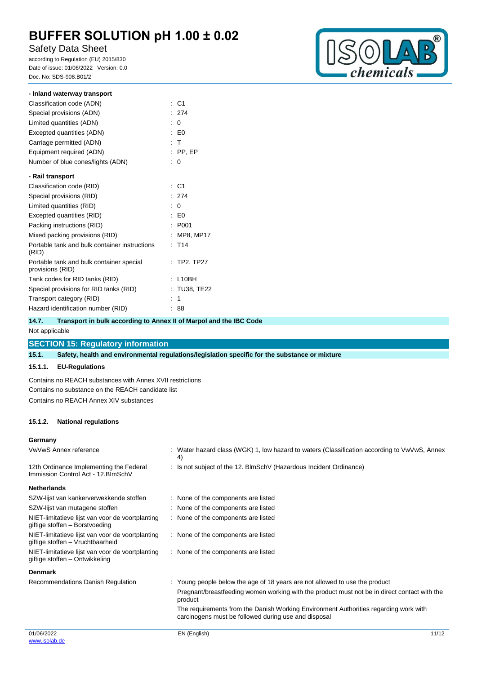## Safety Data Sheet

according to Regulation (EU) 2015/830 Date of issue: 01/06/2022 Version: 0.0 Doc. No: SDS-908.B01/2



| - Inland waterway transport                                  |    |                   |
|--------------------------------------------------------------|----|-------------------|
| Classification code (ADN)                                    | t  | C1                |
| Special provisions (ADN)                                     |    | : 274             |
| Limited quantities (ADN)                                     | t. | $\Omega$          |
| Excepted quantities (ADN)                                    |    | $E_0$             |
| Carriage permitted (ADN)                                     |    | : T               |
| Equipment required (ADN)                                     |    | $:$ PP, EP        |
| Number of blue cones/lights (ADN)                            |    | : 0               |
| - Rail transport                                             |    |                   |
| Classification code (RID)                                    |    | : C1              |
| Special provisions (RID)                                     |    | : 274             |
| Limited quantities (RID)                                     | ÷  | 0                 |
| Excepted quantities (RID)                                    |    | : E0              |
| Packing instructions (RID)                                   | ٠  | P001              |
| Mixed packing provisions (RID)                               |    | MP8, MP17         |
| Portable tank and bulk container instructions<br>(RID)       |    | : T14             |
| Portable tank and bulk container special<br>provisions (RID) |    | : TP2, TP27       |
| Tank codes for RID tanks (RID)                               | ÷  | L10BH             |
| Special provisions for RID tanks (RID)                       |    | <b>TU38, TE22</b> |
| Transport category (RID)                                     |    | 1                 |
| Hazard identification number (RID)                           |    | 88                |

## **14.7. Transport in bulk according to Annex II of Marpol and the IBC Code**

Not applicable

## **SECTION 15: Regulatory information**

**15.1. Safety, health and environmental regulations/legislation specific for the substance or mixture**

## **15.1.1. EU-Regulations**

Contains no REACH substances with Annex XVII restrictions Contains no substance on the REACH candidate list Contains no REACH Annex XIV substances

### **15.1.2. National regulations**

### **Germany**

| : Water hazard class (WGK) 1, low hazard to waters (Classification according to VwVwS, Annex<br>4)                                                                                                                                                                                                                                     |
|----------------------------------------------------------------------------------------------------------------------------------------------------------------------------------------------------------------------------------------------------------------------------------------------------------------------------------------|
| : Is not subject of the 12. BlmSchV (Hazardous Incident Ordinance)                                                                                                                                                                                                                                                                     |
|                                                                                                                                                                                                                                                                                                                                        |
| : None of the components are listed                                                                                                                                                                                                                                                                                                    |
| : None of the components are listed                                                                                                                                                                                                                                                                                                    |
| : None of the components are listed                                                                                                                                                                                                                                                                                                    |
| : None of the components are listed                                                                                                                                                                                                                                                                                                    |
| : None of the components are listed                                                                                                                                                                                                                                                                                                    |
|                                                                                                                                                                                                                                                                                                                                        |
| : Young people below the age of 18 years are not allowed to use the product<br>Pregnant/breastfeeding women working with the product must not be in direct contact with the<br>product<br>The requirements from the Danish Working Environment Authorities regarding work with<br>carcinogens must be followed during use and disposal |
|                                                                                                                                                                                                                                                                                                                                        |